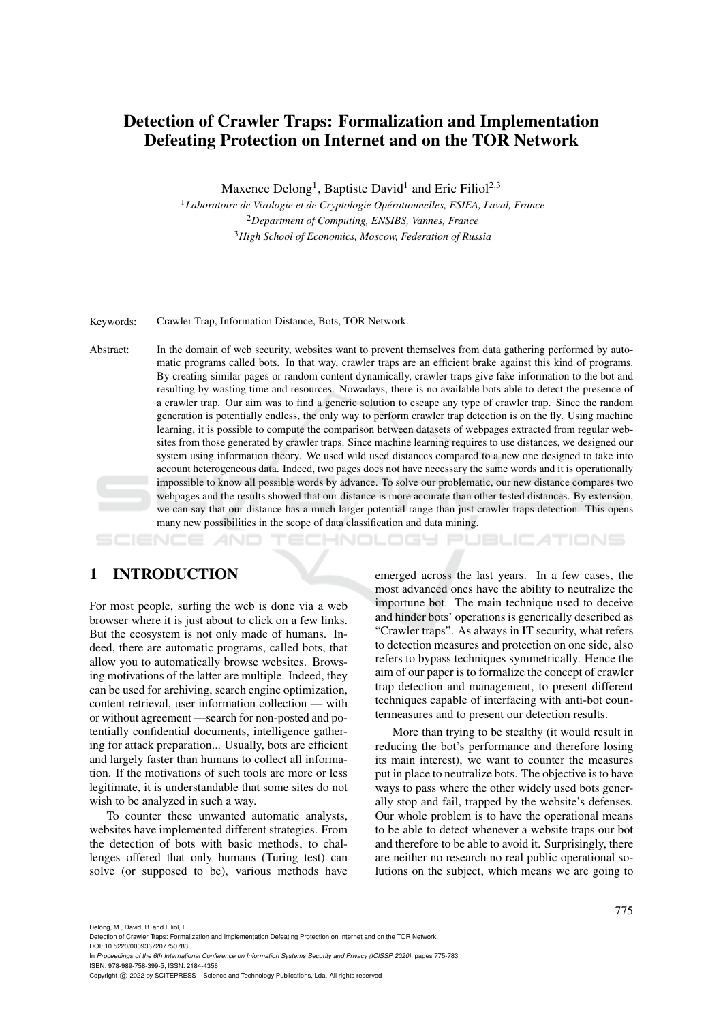# Detection of Crawler Traps: Formalization and Implementation Defeating Protection on Internet and on the TOR Network

Maxence Delong<sup>1</sup>, Baptiste David<sup>1</sup> and Eric Filiol<sup>2,3</sup>

<sup>1</sup>*Laboratoire de Virologie et de Cryptologie Operationnelles, ESIEA, Laval, France ´* <sup>2</sup>*Department of Computing, ENSIBS, Vannes, France* <sup>3</sup>*High School of Economics, Moscow, Federation of Russia*

Keywords: Crawler Trap, Information Distance, Bots, TOR Network.

Abstract: In the domain of web security, websites want to prevent themselves from data gathering performed by automatic programs called bots. In that way, crawler traps are an efficient brake against this kind of programs. By creating similar pages or random content dynamically, crawler traps give fake information to the bot and resulting by wasting time and resources. Nowadays, there is no available bots able to detect the presence of a crawler trap. Our aim was to find a generic solution to escape any type of crawler trap. Since the random generation is potentially endless, the only way to perform crawler trap detection is on the fly. Using machine learning, it is possible to compute the comparison between datasets of webpages extracted from regular websites from those generated by crawler traps. Since machine learning requires to use distances, we designed our system using information theory. We used wild used distances compared to a new one designed to take into account heterogeneous data. Indeed, two pages does not have necessary the same words and it is operationally impossible to know all possible words by advance. To solve our problematic, our new distance compares two webpages and the results showed that our distance is more accurate than other tested distances. By extension, we can say that our distance has a much larger potential range than just crawler traps detection. This opens many new possibilities in the scope of data classification and data mining.

**PUBLICATIONS** HNOLOGY

## 1 INTRODUCTION

For most people, surfing the web is done via a web browser where it is just about to click on a few links. But the ecosystem is not only made of humans. Indeed, there are automatic programs, called bots, that allow you to automatically browse websites. Browsing motivations of the latter are multiple. Indeed, they can be used for archiving, search engine optimization, content retrieval, user information collection — with or without agreement —search for non-posted and potentially confidential documents, intelligence gathering for attack preparation... Usually, bots are efficient and largely faster than humans to collect all information. If the motivations of such tools are more or less legitimate, it is understandable that some sites do not wish to be analyzed in such a way.

To counter these unwanted automatic analysts, websites have implemented different strategies. From the detection of bots with basic methods, to challenges offered that only humans (Turing test) can solve (or supposed to be), various methods have

emerged across the last years. In a few cases, the most advanced ones have the ability to neutralize the importune bot. The main technique used to deceive and hinder bots' operations is generically described as "Crawler traps". As always in IT security, what refers to detection measures and protection on one side, also refers to bypass techniques symmetrically. Hence the aim of our paper is to formalize the concept of crawler trap detection and management, to present different techniques capable of interfacing with anti-bot countermeasures and to present our detection results.

More than trying to be stealthy (it would result in reducing the bot's performance and therefore losing its main interest), we want to counter the measures put in place to neutralize bots. The objective is to have ways to pass where the other widely used bots generally stop and fail, trapped by the website's defenses. Our whole problem is to have the operational means to be able to detect whenever a website traps our bot and therefore to be able to avoid it. Surprisingly, there are neither no research no real public operational solutions on the subject, which means we are going to

Delong, M., David, B. and Filiol, E.

Detection of Crawler Traps: Formalization and Implementation Defeating Protection on Internet and on the TOR Network.

DOI: 10.5220/0009367207750783

In *Proceedings of the 6th International Conference on Information Systems Security and Privacy (ICISSP 2020)*, pages 775-783 ISBN: 978-989-758-399-5; ISSN: 2184-4356

Copyright C 2022 by SCITEPRESS - Science and Technology Publications, Lda. All rights reserved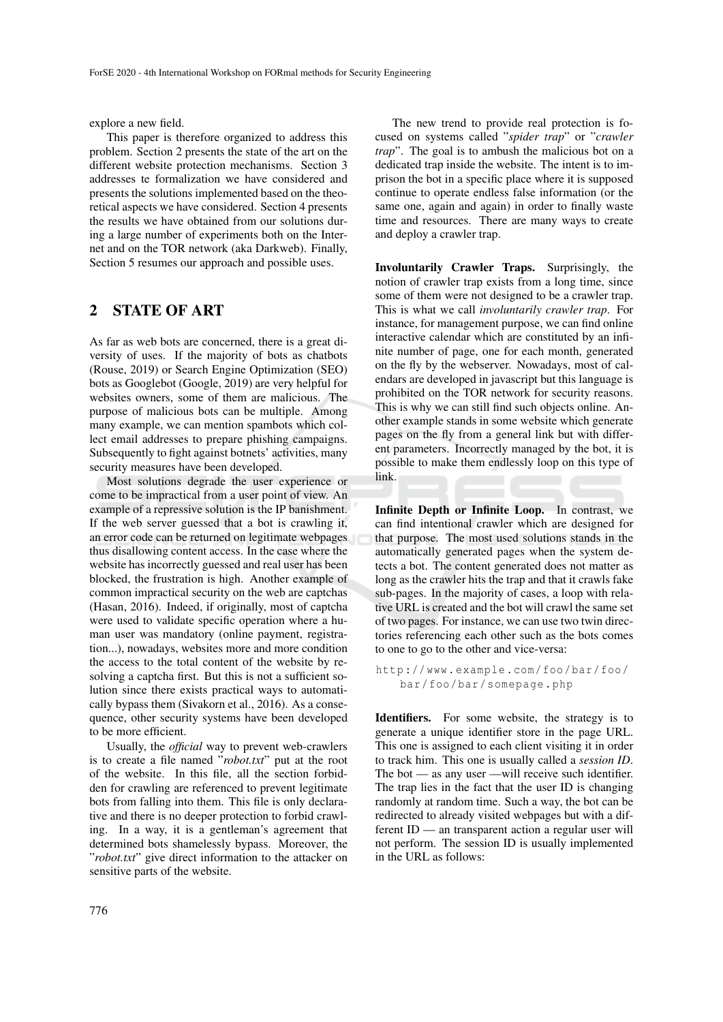explore a new field.

This paper is therefore organized to address this problem. Section 2 presents the state of the art on the different website protection mechanisms. Section 3 addresses te formalization we have considered and presents the solutions implemented based on the theoretical aspects we have considered. Section 4 presents the results we have obtained from our solutions during a large number of experiments both on the Internet and on the TOR network (aka Darkweb). Finally, Section 5 resumes our approach and possible uses.

## 2 STATE OF ART

As far as web bots are concerned, there is a great diversity of uses. If the majority of bots as chatbots (Rouse, 2019) or Search Engine Optimization (SEO) bots as Googlebot (Google, 2019) are very helpful for websites owners, some of them are malicious. The purpose of malicious bots can be multiple. Among many example, we can mention spambots which collect email addresses to prepare phishing campaigns. Subsequently to fight against botnets' activities, many security measures have been developed.

Most solutions degrade the user experience or come to be impractical from a user point of view. An example of a repressive solution is the IP banishment. If the web server guessed that a bot is crawling it, an error code can be returned on legitimate webpages thus disallowing content access. In the case where the website has incorrectly guessed and real user has been blocked, the frustration is high. Another example of common impractical security on the web are captchas (Hasan, 2016). Indeed, if originally, most of captcha were used to validate specific operation where a human user was mandatory (online payment, registration...), nowadays, websites more and more condition the access to the total content of the website by resolving a captcha first. But this is not a sufficient solution since there exists practical ways to automatically bypass them (Sivakorn et al., 2016). As a consequence, other security systems have been developed to be more efficient.

Usually, the *official* way to prevent web-crawlers is to create a file named "*robot.txt*" put at the root of the website. In this file, all the section forbidden for crawling are referenced to prevent legitimate bots from falling into them. This file is only declarative and there is no deeper protection to forbid crawling. In a way, it is a gentleman's agreement that determined bots shamelessly bypass. Moreover, the "*robot.txt*" give direct information to the attacker on sensitive parts of the website.

The new trend to provide real protection is focused on systems called "*spider trap*" or "*crawler trap*". The goal is to ambush the malicious bot on a dedicated trap inside the website. The intent is to imprison the bot in a specific place where it is supposed continue to operate endless false information (or the same one, again and again) in order to finally waste time and resources. There are many ways to create and deploy a crawler trap.

Involuntarily Crawler Traps. Surprisingly, the notion of crawler trap exists from a long time, since some of them were not designed to be a crawler trap. This is what we call *involuntarily crawler trap*. For instance, for management purpose, we can find online interactive calendar which are constituted by an infinite number of page, one for each month, generated on the fly by the webserver. Nowadays, most of calendars are developed in javascript but this language is prohibited on the TOR network for security reasons. This is why we can still find such objects online. Another example stands in some website which generate pages on the fly from a general link but with different parameters. Incorrectly managed by the bot, it is possible to make them endlessly loop on this type of link.

Infinite Depth or Infinite Loop. In contrast, we can find intentional crawler which are designed for that purpose. The most used solutions stands in the automatically generated pages when the system detects a bot. The content generated does not matter as long as the crawler hits the trap and that it crawls fake sub-pages. In the majority of cases, a loop with relative URL is created and the bot will crawl the same set of two pages. For instance, we can use two twin directories referencing each other such as the bots comes to one to go to the other and vice-versa:

```
http :// www . example . com / foo / bar / foo /
bar / foo / bar / somepage . php
```
Identifiers. For some website, the strategy is to generate a unique identifier store in the page URL. This one is assigned to each client visiting it in order to track him. This one is usually called a *session ID*. The bot — as any user —will receive such identifier. The trap lies in the fact that the user ID is changing randomly at random time. Such a way, the bot can be redirected to already visited webpages but with a different ID — an transparent action a regular user will not perform. The session ID is usually implemented in the URL as follows: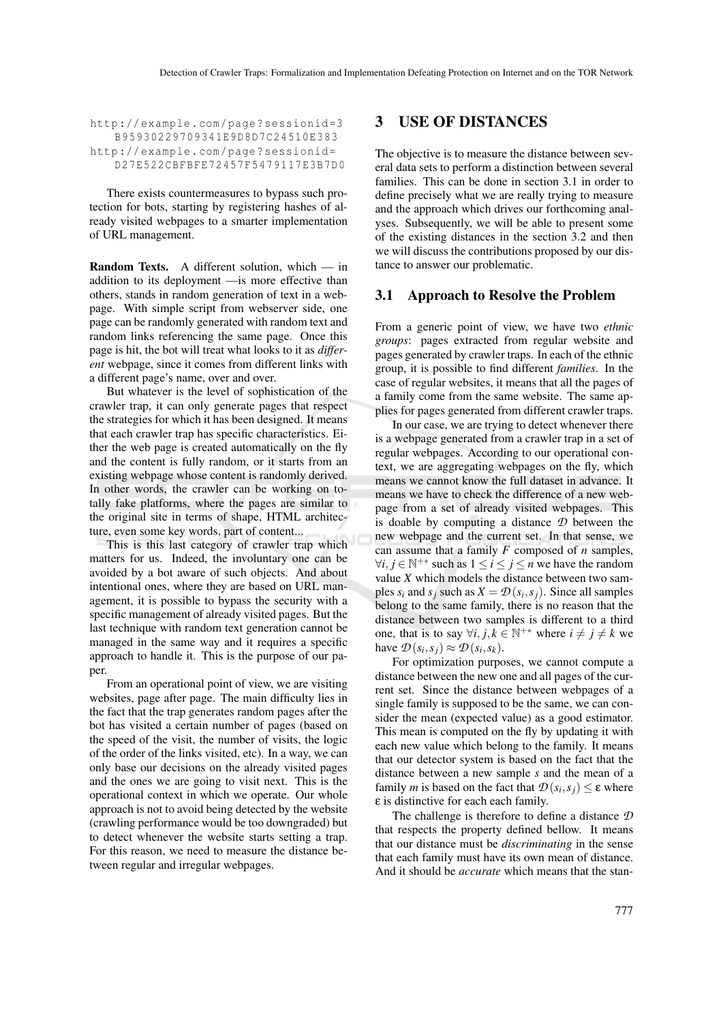http://example.com/page?sessionid=3 B95930229709341E9D8D7C24510E383 http://example.com/page?sessionid= D27E522CBFBFE72457F5479117E3B7D0

There exists countermeasures to bypass such protection for bots, starting by registering hashes of already visited webpages to a smarter implementation of URL management.

Random Texts. A different solution, which — in addition to its deployment —is more effective than others, stands in random generation of text in a webpage. With simple script from webserver side, one page can be randomly generated with random text and random links referencing the same page. Once this page is hit, the bot will treat what looks to it as *different* webpage, since it comes from different links with a different page's name, over and over.

But whatever is the level of sophistication of the crawler trap, it can only generate pages that respect the strategies for which it has been designed. It means that each crawler trap has specific characteristics. Either the web page is created automatically on the fly and the content is fully random, or it starts from an existing webpage whose content is randomly derived. In other words, the crawler can be working on totally fake platforms, where the pages are similar to the original site in terms of shape, HTML architecture, even some key words, part of content...

This is this last category of crawler trap which matters for us. Indeed, the involuntary one can be avoided by a bot aware of such objects. And about intentional ones, where they are based on URL management, it is possible to bypass the security with a specific management of already visited pages. But the last technique with random text generation cannot be managed in the same way and it requires a specific approach to handle it. This is the purpose of our paper.

From an operational point of view, we are visiting websites, page after page. The main difficulty lies in the fact that the trap generates random pages after the bot has visited a certain number of pages (based on the speed of the visit, the number of visits, the logic of the order of the links visited, etc). In a way, we can only base our decisions on the already visited pages and the ones we are going to visit next. This is the operational context in which we operate. Our whole approach is not to avoid being detected by the website (crawling performance would be too downgraded) but to detect whenever the website starts setting a trap. For this reason, we need to measure the distance between regular and irregular webpages.

### 3 USE OF DISTANCES

The objective is to measure the distance between several data sets to perform a distinction between several families. This can be done in section 3.1 in order to define precisely what we are really trying to measure and the approach which drives our forthcoming analyses. Subsequently, we will be able to present some of the existing distances in the section 3.2 and then we will discuss the contributions proposed by our distance to answer our problematic.

### 3.1 Approach to Resolve the Problem

From a generic point of view, we have two *ethnic groups*: pages extracted from regular website and pages generated by crawler traps. In each of the ethnic group, it is possible to find different *families*. In the case of regular websites, it means that all the pages of a family come from the same website. The same applies for pages generated from different crawler traps.

In our case, we are trying to detect whenever there is a webpage generated from a crawler trap in a set of regular webpages. According to our operational context, we are aggregating webpages on the fly, which means we cannot know the full dataset in advance. It means we have to check the difference of a new webpage from a set of already visited webpages. This is doable by computing a distance *D* between the new webpage and the current set. In that sense, we can assume that a family *F* composed of *n* samples,  $\forall i, j \in \mathbb{N}^{+*}$  such as  $1 \leq i \leq j \leq n$  we have the random value *X* which models the distance between two samples  $s_i$  and  $s_j$  such as  $X = \mathcal{D}(s_i, s_j)$ . Since all samples belong to the same family, there is no reason that the distance between two samples is different to a third one, that is to say  $\forall i, j, k \in \mathbb{N}^{+*}$  where  $i \neq j \neq k$  we have  $\mathcal{D}(s_i, s_j) \approx \mathcal{D}(s_i, s_k)$ .

For optimization purposes, we cannot compute a distance between the new one and all pages of the current set. Since the distance between webpages of a single family is supposed to be the same, we can consider the mean (expected value) as a good estimator. This mean is computed on the fly by updating it with each new value which belong to the family. It means that our detector system is based on the fact that the distance between a new sample *s* and the mean of a family *m* is based on the fact that  $\mathcal{D}(s_i, s_j) \leq \varepsilon$  where ε is distinctive for each each family.

The challenge is therefore to define a distance *D* that respects the property defined bellow. It means that our distance must be *discriminating* in the sense that each family must have its own mean of distance. And it should be *accurate* which means that the stan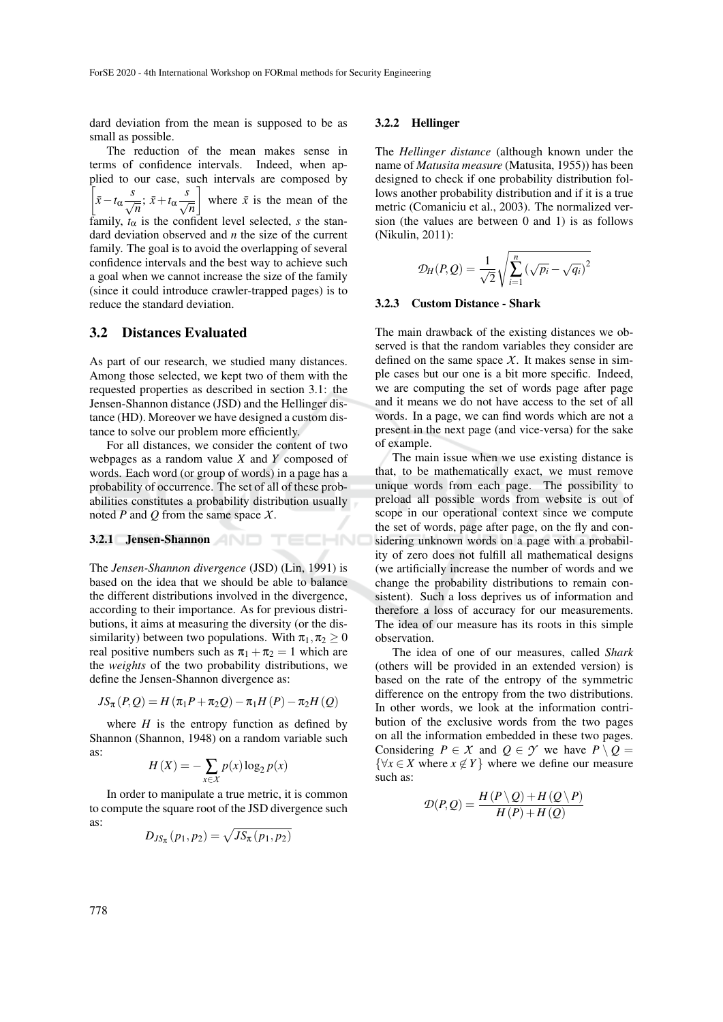dard deviation from the mean is supposed to be as small as possible.

The reduction of the mean makes sense in terms of confidence intervals. Indeed, when applied to our case, such intervals are composed by  $\int \bar{x} - t_{\alpha} \frac{s}{\sqrt{n}}$ ;  $\bar{x} + t_{\alpha} \frac{s}{\sqrt{n}}$ where  $\bar{x}$  is the mean of the family,  $t_{\alpha}$  is the confident level selected, *s* the standard deviation observed and *n* the size of the current family. The goal is to avoid the overlapping of several confidence intervals and the best way to achieve such a goal when we cannot increase the size of the family (since it could introduce crawler-trapped pages) is to reduce the standard deviation.

### 3.2 Distances Evaluated

As part of our research, we studied many distances. Among those selected, we kept two of them with the requested properties as described in section 3.1: the Jensen-Shannon distance (JSD) and the Hellinger distance (HD). Moreover we have designed a custom distance to solve our problem more efficiently.

For all distances, we consider the content of two webpages as a random value *X* and *Y* composed of words. Each word (or group of words) in a page has a probability of occurrence. The set of all of these probabilities constitutes a probability distribution usually noted *P* and *Q* from the same space *X*.

TECHNO

#### 3.2.1 Jensen-Shannon

The *Jensen-Shannon divergence* (JSD) (Lin, 1991) is based on the idea that we should be able to balance the different distributions involved in the divergence, according to their importance. As for previous distributions, it aims at measuring the diversity (or the dissimilarity) between two populations. With  $\pi_1, \pi_2 \geq 0$ real positive numbers such as  $\pi_1 + \pi_2 = 1$  which are the *weights* of the two probability distributions, we define the Jensen-Shannon divergence as:

$$
JS_{\pi}(P,Q) = H(\pi_1 P + \pi_2 Q) - \pi_1 H(P) - \pi_2 H(Q)
$$

where  $H$  is the entropy function as defined by Shannon (Shannon, 1948) on a random variable such as:

$$
H(X) = -\sum_{x \in X} p(x) \log_2 p(x)
$$

In order to manipulate a true metric, it is common to compute the square root of the JSD divergence such as:

$$
D_{JS_{\pi}}(p_1,p_2)=\sqrt{JS_{\pi}(p_1,p_2)}
$$

#### 3.2.2 Hellinger

The *Hellinger distance* (although known under the name of *Matusita measure* (Matusita, 1955)) has been designed to check if one probability distribution follows another probability distribution and if it is a true metric (Comaniciu et al., 2003). The normalized version (the values are between 0 and 1) is as follows (Nikulin, 2011):

$$
\mathcal{D}_H(P,Q) = \frac{1}{\sqrt{2}} \sqrt{\sum_{i=1}^n (\sqrt{p_i} - \sqrt{q_i})^2}
$$

#### 3.2.3 Custom Distance - Shark

The main drawback of the existing distances we observed is that the random variables they consider are defined on the same space  $X$ . It makes sense in simple cases but our one is a bit more specific. Indeed, we are computing the set of words page after page and it means we do not have access to the set of all words. In a page, we can find words which are not a present in the next page (and vice-versa) for the sake of example.

The main issue when we use existing distance is that, to be mathematically exact, we must remove unique words from each page. The possibility to preload all possible words from website is out of scope in our operational context since we compute the set of words, page after page, on the fly and considering unknown words on a page with a probability of zero does not fulfill all mathematical designs (we artificially increase the number of words and we change the probability distributions to remain consistent). Such a loss deprives us of information and therefore a loss of accuracy for our measurements. The idea of our measure has its roots in this simple observation.

The idea of one of our measures, called *Shark* (others will be provided in an extended version) is based on the rate of the entropy of the symmetric difference on the entropy from the two distributions. In other words, we look at the information contribution of the exclusive words from the two pages on all the information embedded in these two pages. Considering  $P \in \mathcal{X}$  and  $Q \in \mathcal{Y}$  we have  $P \setminus Q =$  $\{\forall x \in X \text{ where } x \notin Y\}$  where we define our measure such as:

$$
\mathcal{D}(P,Q) = \frac{H(P \setminus Q) + H(Q \setminus P)}{H(P) + H(Q)}
$$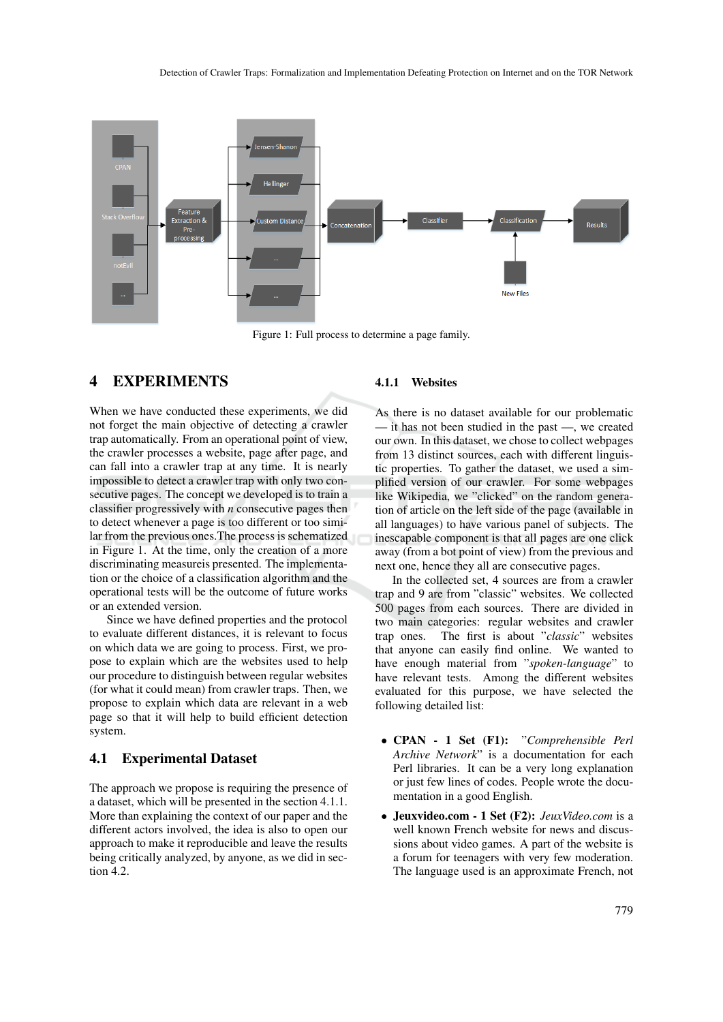

Figure 1: Full process to determine a page family.

## 4 EXPERIMENTS

When we have conducted these experiments, we did not forget the main objective of detecting a crawler trap automatically. From an operational point of view, the crawler processes a website, page after page, and can fall into a crawler trap at any time. It is nearly impossible to detect a crawler trap with only two consecutive pages. The concept we developed is to train a classifier progressively with *n* consecutive pages then to detect whenever a page is too different or too similar from the previous ones.The process is schematized in Figure 1. At the time, only the creation of a more discriminating measureis presented. The implementation or the choice of a classification algorithm and the operational tests will be the outcome of future works or an extended version.

Since we have defined properties and the protocol to evaluate different distances, it is relevant to focus on which data we are going to process. First, we propose to explain which are the websites used to help our procedure to distinguish between regular websites (for what it could mean) from crawler traps. Then, we propose to explain which data are relevant in a web page so that it will help to build efficient detection system.

### 4.1 Experimental Dataset

The approach we propose is requiring the presence of a dataset, which will be presented in the section 4.1.1. More than explaining the context of our paper and the different actors involved, the idea is also to open our approach to make it reproducible and leave the results being critically analyzed, by anyone, as we did in section 4.2.

### 4.1.1 Websites

As there is no dataset available for our problematic — it has not been studied in the past —, we created our own. In this dataset, we chose to collect webpages from 13 distinct sources, each with different linguistic properties. To gather the dataset, we used a simplified version of our crawler. For some webpages like Wikipedia, we "clicked" on the random generation of article on the left side of the page (available in all languages) to have various panel of subjects. The inescapable component is that all pages are one click away (from a bot point of view) from the previous and next one, hence they all are consecutive pages.

In the collected set, 4 sources are from a crawler trap and 9 are from "classic" websites. We collected 500 pages from each sources. There are divided in two main categories: regular websites and crawler trap ones. The first is about "*classic*" websites that anyone can easily find online. We wanted to have enough material from "*spoken-language*" to have relevant tests. Among the different websites evaluated for this purpose, we have selected the following detailed list:

- CPAN 1 Set (F1): "*Comprehensible Perl Archive Network*" is a documentation for each Perl libraries. It can be a very long explanation or just few lines of codes. People wrote the documentation in a good English.
- Jeuxvideo.com 1 Set (F2): *JeuxVideo.com* is a well known French website for news and discussions about video games. A part of the website is a forum for teenagers with very few moderation. The language used is an approximate French, not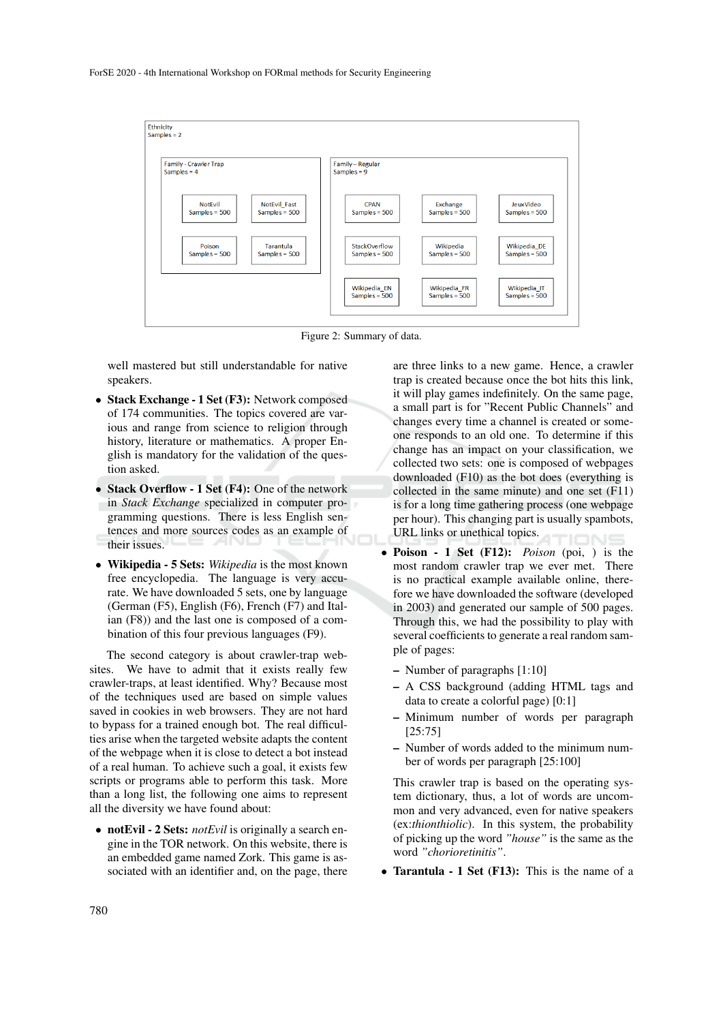

Figure 2: Summary of data.

well mastered but still understandable for native speakers.

- Stack Exchange 1 Set (F3): Network composed of 174 communities. The topics covered are various and range from science to religion through history, literature or mathematics. A proper English is mandatory for the validation of the question asked.
- Stack Overflow 1 Set (F4): One of the network in *Stack Exchange* specialized in computer programming questions. There is less English sentences and more sources codes as an example of their issues.
- Wikipedia 5 Sets: *Wikipedia* is the most known free encyclopedia. The language is very accurate. We have downloaded 5 sets, one by language (German (F5), English (F6), French (F7) and Italian (F8)) and the last one is composed of a combination of this four previous languages (F9).

The second category is about crawler-trap websites. We have to admit that it exists really few crawler-traps, at least identified. Why? Because most of the techniques used are based on simple values saved in cookies in web browsers. They are not hard to bypass for a trained enough bot. The real difficulties arise when the targeted website adapts the content of the webpage when it is close to detect a bot instead of a real human. To achieve such a goal, it exists few scripts or programs able to perform this task. More than a long list, the following one aims to represent all the diversity we have found about:

• notEvil - 2 Sets: *notEvil* is originally a search engine in the TOR network. On this website, there is an embedded game named Zork. This game is associated with an identifier and, on the page, there

are three links to a new game. Hence, a crawler trap is created because once the bot hits this link, it will play games indefinitely. On the same page, a small part is for "Recent Public Channels" and changes every time a channel is created or someone responds to an old one. To determine if this change has an impact on your classification, we collected two sets: one is composed of webpages downloaded (F10) as the bot does (everything is collected in the same minute) and one set (F11) is for a long time gathering process (one webpage per hour). This changing part is usually spambots, URL links or unethical topics.

- Poison 1 Set (F12): *Poison* (poi, ) is the most random crawler trap we ever met. There is no practical example available online, therefore we have downloaded the software (developed in 2003) and generated our sample of 500 pages. Through this, we had the possibility to play with several coefficients to generate a real random sample of pages:
	- Number of paragraphs [1:10]
	- A CSS background (adding HTML tags and data to create a colorful page) [0:1]
	- Minimum number of words per paragraph [25:75]
	- Number of words added to the minimum number of words per paragraph [25:100]

This crawler trap is based on the operating system dictionary, thus, a lot of words are uncommon and very advanced, even for native speakers (ex:*thionthiolic*). In this system, the probability of picking up the word *"house"* is the same as the word *"chorioretinitis"*.

• Tarantula - 1 Set (F13): This is the name of a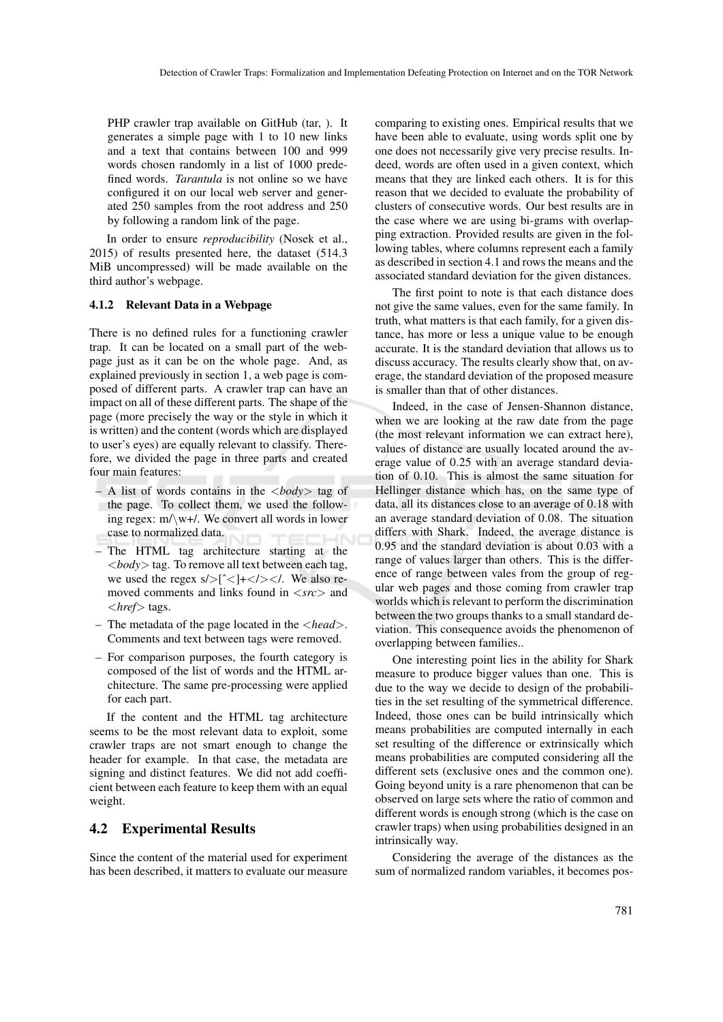PHP crawler trap available on GitHub (tar, ). It generates a simple page with 1 to 10 new links and a text that contains between 100 and 999 words chosen randomly in a list of 1000 predefined words. *Tarantula* is not online so we have configured it on our local web server and generated 250 samples from the root address and 250 by following a random link of the page.

In order to ensure *reproducibility* (Nosek et al., 2015) of results presented here, the dataset (514.3 MiB uncompressed) will be made available on the third author's webpage.

#### 4.1.2 Relevant Data in a Webpage

There is no defined rules for a functioning crawler trap. It can be located on a small part of the webpage just as it can be on the whole page. And, as explained previously in section 1, a web page is composed of different parts. A crawler trap can have an impact on all of these different parts. The shape of the page (more precisely the way or the style in which it is written) and the content (words which are displayed to user's eyes) are equally relevant to classify. Therefore, we divided the page in three parts and created four main features:

- A list of words contains in the <*body*> tag of the page. To collect them, we used the following regex:  $m/\wedge w+1$ . We convert all words in lower case to normalized data.
- The HTML tag architecture starting at the <*body*> tag. To remove all text between each tag, we used the regex  $s$ /> $\lceil^2$  <//> $\lceil^2$  <//> $\lceil^2$  <//>  $\lceil^2$  <//>We also removed comments and links found in <*src*> and <*href*> tags.
- The metadata of the page located in the <*head*>. Comments and text between tags were removed.
- For comparison purposes, the fourth category is composed of the list of words and the HTML architecture. The same pre-processing were applied for each part.

If the content and the HTML tag architecture seems to be the most relevant data to exploit, some crawler traps are not smart enough to change the header for example. In that case, the metadata are signing and distinct features. We did not add coefficient between each feature to keep them with an equal weight.

## 4.2 Experimental Results

Since the content of the material used for experiment has been described, it matters to evaluate our measure comparing to existing ones. Empirical results that we have been able to evaluate, using words split one by one does not necessarily give very precise results. Indeed, words are often used in a given context, which means that they are linked each others. It is for this reason that we decided to evaluate the probability of clusters of consecutive words. Our best results are in the case where we are using bi-grams with overlapping extraction. Provided results are given in the following tables, where columns represent each a family as described in section 4.1 and rows the means and the associated standard deviation for the given distances.

The first point to note is that each distance does not give the same values, even for the same family. In truth, what matters is that each family, for a given distance, has more or less a unique value to be enough accurate. It is the standard deviation that allows us to discuss accuracy. The results clearly show that, on average, the standard deviation of the proposed measure is smaller than that of other distances.

Indeed, in the case of Jensen-Shannon distance, when we are looking at the raw date from the page (the most relevant information we can extract here), values of distance are usually located around the average value of 0.25 with an average standard deviation of 0.10. This is almost the same situation for Hellinger distance which has, on the same type of data, all its distances close to an average of 0.18 with an average standard deviation of 0.08. The situation differs with Shark. Indeed, the average distance is 0.95 and the standard deviation is about 0.03 with a range of values larger than others. This is the difference of range between vales from the group of regular web pages and those coming from crawler trap worlds which is relevant to perform the discrimination between the two groups thanks to a small standard deviation. This consequence avoids the phenomenon of overlapping between families..

One interesting point lies in the ability for Shark measure to produce bigger values than one. This is due to the way we decide to design of the probabilities in the set resulting of the symmetrical difference. Indeed, those ones can be build intrinsically which means probabilities are computed internally in each set resulting of the difference or extrinsically which means probabilities are computed considering all the different sets (exclusive ones and the common one). Going beyond unity is a rare phenomenon that can be observed on large sets where the ratio of common and different words is enough strong (which is the case on crawler traps) when using probabilities designed in an intrinsically way.

Considering the average of the distances as the sum of normalized random variables, it becomes pos-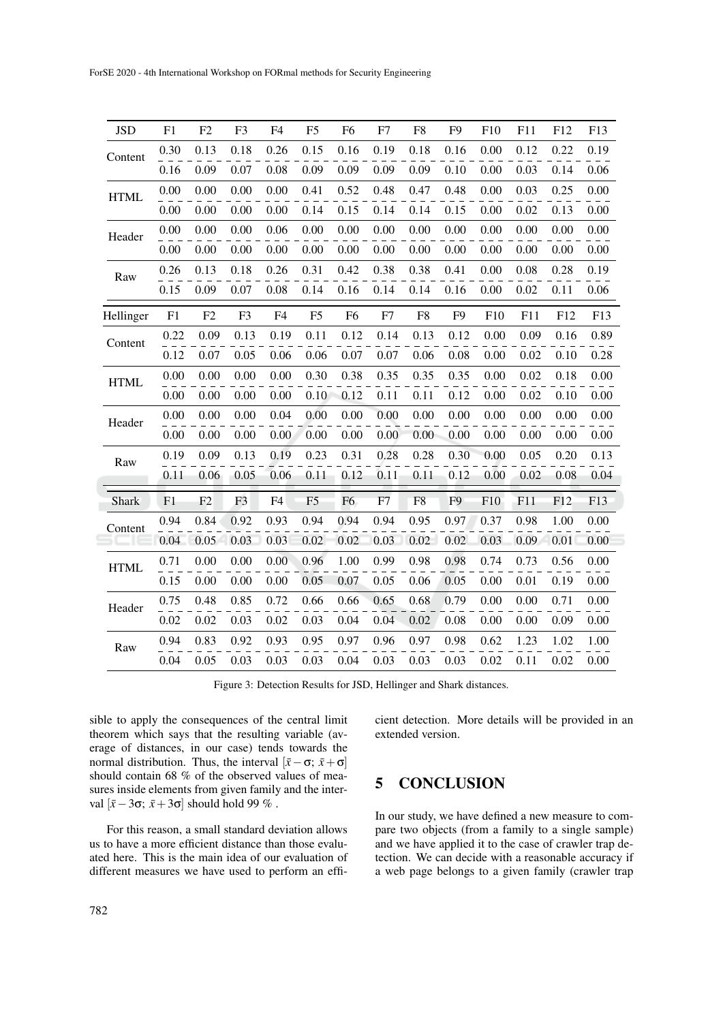| JSD         | F <sub>1</sub> | F2   | F <sub>3</sub> | F <sub>4</sub> | F <sub>5</sub> | F <sub>6</sub> | F7   | F <sub>8</sub> | F <sub>9</sub> | F10      | F11  | F12  | F13  |
|-------------|----------------|------|----------------|----------------|----------------|----------------|------|----------------|----------------|----------|------|------|------|
| Content     |                |      |                |                |                |                |      |                |                |          |      |      |      |
|             | 0.30           | 0.13 | 0.18           | 0.26           | 0.15           | 0.16           | 0.19 | 0.18           | 0.16           | 0.00     | 0.12 | 0.22 | 0.19 |
|             | 0.16           | 0.09 | 0.07           | 0.08           | 0.09           | 0.09           | 0.09 | 0.09           | 0.10           | 0.00     | 0.03 | 0.14 | 0.06 |
| <b>HTML</b> | 0.00           | 0.00 | 0.00           | 0.00           | 0.41           | 0.52           | 0.48 | 0.47           | 0.48           | 0.00     | 0.03 | 0.25 | 0.00 |
|             | 0.00           | 0.00 | 0.00           | 0.00           | 0.14           | 0.15           | 0.14 | 0.14           | 0.15           | 0.00     | 0.02 | 0.13 | 0.00 |
| Header      | 0.00           | 0.00 | 0.00           | 0.06           | 0.00           | 0.00           | 0.00 | 0.00           | 0.00           | 0.00     | 0.00 | 0.00 | 0.00 |
|             | 0.00           | 0.00 | 0.00           | 0.00           | 0.00           | 0.00           | 0.00 | 0.00           | 0.00           | 0.00     | 0.00 | 0.00 | 0.00 |
| Raw         | 0.26           | 0.13 | 0.18           | 0.26           | 0.31           | 0.42           | 0.38 | 0.38           | 0.41           | 0.00     | 0.08 | 0.28 | 0.19 |
|             | 0.15           | 0.09 | 0.07           | 0.08           | 0.14           | 0.16           | 0.14 | 0.14           | 0.16           | $0.00\,$ | 0.02 | 0.11 | 0.06 |
| Hellinger   | F1             | F2   | F <sub>3</sub> | F <sub>4</sub> | F <sub>5</sub> | F <sub>6</sub> | F7   | ${\rm F}8$     | F <sub>9</sub> | F10      | F11  | F12  | F13  |
| Content     | 0.22           | 0.09 | 0.13           | 0.19           | 0.11           | 0.12           | 0.14 | 0.13           | 0.12           | 0.00     | 0.09 | 0.16 | 0.89 |
|             | 0.12           | 0.07 | 0.05           | 0.06           | 0.06           | 0.07           | 0.07 | 0.06           | 0.08           | 0.00     | 0.02 | 0.10 | 0.28 |
| <b>HTML</b> | 0.00           | 0.00 | 0.00           | 0.00           | 0.30           | 0.38           | 0.35 | 0.35           | 0.35           | 0.00     | 0.02 | 0.18 | 0.00 |
|             | 0.00           | 0.00 | 0.00           | 0.00           | 0.10           | 0.12           | 0.11 | 0.11           | 0.12           | 0.00     | 0.02 | 0.10 | 0.00 |
| Header      | 0.00           | 0.00 | 0.00           | 0.04           | 0.00           | $0.00\,$       | 0.00 | 0.00           | 0.00           | 0.00     | 0.00 | 0.00 | 0.00 |
|             | 0.00           | 0.00 | 0.00           | 0.00           | 0.00           | 0.00           | 0.00 | 0.00           | 0.00           | 0.00     | 0.00 | 0.00 | 0.00 |
| Raw         | 0.19           | 0.09 | 0.13           | 0.19           | 0.23           | 0.31           | 0.28 | 0.28           | 0.30           | 0.00     | 0.05 | 0.20 | 0.13 |
|             | 0.11           | 0.06 | 0.05           | 0.06           | 0.11           | 0.12           | 0.11 | 0.11           | 0.12           | 0.00     | 0.02 | 0.08 | 0.04 |
| Shark       | F1             | F2   | F <sub>3</sub> | F <sub>4</sub> | F <sub>5</sub> | F <sub>6</sub> | F7   | F <sub>8</sub> | F <sub>9</sub> | F10      | F11  | F12  | F13  |
| Content     | 0.94           | 0.84 | 0.92           | 0.93           | 0.94           | 0.94           | 0.94 | 0.95           | 0.97           | 0.37     | 0.98 | 1.00 | 0.00 |
|             | 0.04           | 0.05 | 0.03           | 0.03           | 0.02           | 0.02           | 0.03 | 0.02           | 0.02           | 0.03     | 0.09 | 0.01 | 0.00 |
| <b>HTML</b> | 0.71           | 0.00 | 0.00           | 0.00           | 0.96           | 1.00           | 0.99 | 0.98           | 0.98           | 0.74     | 0.73 | 0.56 | 0.00 |
|             | 0.15           | 0.00 | 0.00           | 0.00           | 0.05           | 0.07           | 0.05 | 0.06           | 0.05           | 0.00     | 0.01 | 0.19 | 0.00 |
| Header      | 0.75           | 0.48 | 0.85           | 0.72           | 0.66           | 0.66           | 0.65 | 0.68           | 0.79           | 0.00     | 0.00 | 0.71 | 0.00 |
|             | 0.02           | 0.02 | 0.03           | 0.02           | 0.03           | 0.04           | 0.04 | 0.02           | 0.08           | 0.00     | 0.00 | 0.09 | 0.00 |
| Raw         | 0.94           | 0.83 | 0.92           | 0.93           | 0.95           | 0.97           | 0.96 | 0.97           | 0.98           | 0.62     | 1.23 | 1.02 | 1.00 |
|             | 0.04           | 0.05 | 0.03           | 0.03           | 0.03           | 0.04           | 0.03 | 0.03           | 0.03           | 0.02     | 0.11 | 0.02 | 0.00 |
|             |                |      |                |                |                |                |      |                |                |          |      |      |      |

Figure 3: Detection Results for JSD, Hellinger and Shark distances.

sible to apply the consequences of the central limit theorem which says that the resulting variable (average of distances, in our case) tends towards the normal distribution. Thus, the interval  $[\bar{x} - \sigma; \bar{x} + \sigma]$ should contain 68 % of the observed values of measures inside elements from given family and the interval  $[\bar{x}-3\sigma; \bar{x}+3\sigma]$  should hold 99 % .

For this reason, a small standard deviation allows us to have a more efficient distance than those evaluated here. This is the main idea of our evaluation of different measures we have used to perform an efficient detection. More details will be provided in an extended version.

# 5 CONCLUSION

In our study, we have defined a new measure to compare two objects (from a family to a single sample) and we have applied it to the case of crawler trap detection. We can decide with a reasonable accuracy if a web page belongs to a given family (crawler trap